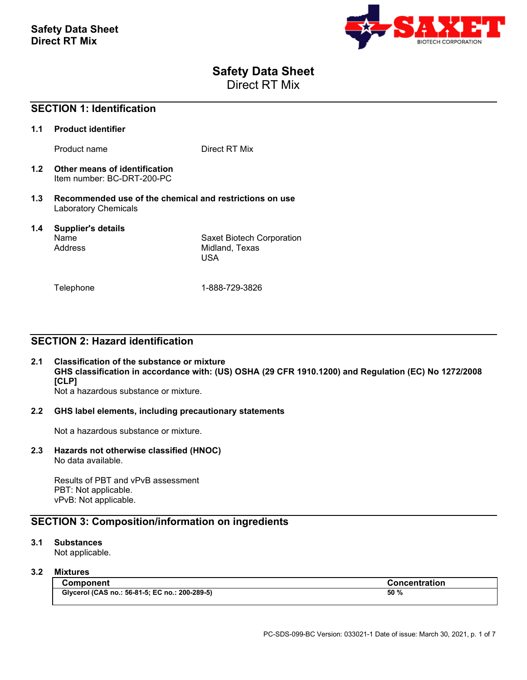

# **Safety Data Sheet**

Direct RT Mix

|     | <b>SECTION 1: Identification</b>                                                |                                                           |  |
|-----|---------------------------------------------------------------------------------|-----------------------------------------------------------|--|
| 1.1 | <b>Product identifier</b>                                                       |                                                           |  |
|     | Product name                                                                    | Direct RT Mix                                             |  |
| 1.2 | Other means of identification<br>Item number: BC-DRT-200-PC                     |                                                           |  |
| 1.3 | Recommended use of the chemical and restrictions on use<br>Laboratory Chemicals |                                                           |  |
| 1.4 | Supplier's details<br>Name<br>Address                                           | Saxet Biotech Corporation<br>Midland, Texas<br><b>USA</b> |  |
|     | Telephone                                                                       | 1-888-729-3826                                            |  |

# **SECTION 2: Hazard identification**

#### **2.1 Classification of the substance or mixture GHS classification in accordance with: (US) OSHA (29 CFR 1910.1200) and Regulation (EC) No 1272/2008 [CLP]** Not a hazardous substance or mixture.

#### **2.2 GHS label elements, including precautionary statements**

Not a hazardous substance or mixture.

# **2.3 Hazards not otherwise classified (HNOC)**

No data available.

Results of PBT and vPvB assessment PBT: Not applicable. vPvB: Not applicable.

# **SECTION 3: Composition/information on ingredients**

#### **3.1 Substances**

Not applicable.

### **3.2 Mixtures**

| <b>Component</b>                               | <b>Concentration</b> |
|------------------------------------------------|----------------------|
| Glycerol (CAS no.: 56-81-5; EC no.: 200-289-5) | 50 %                 |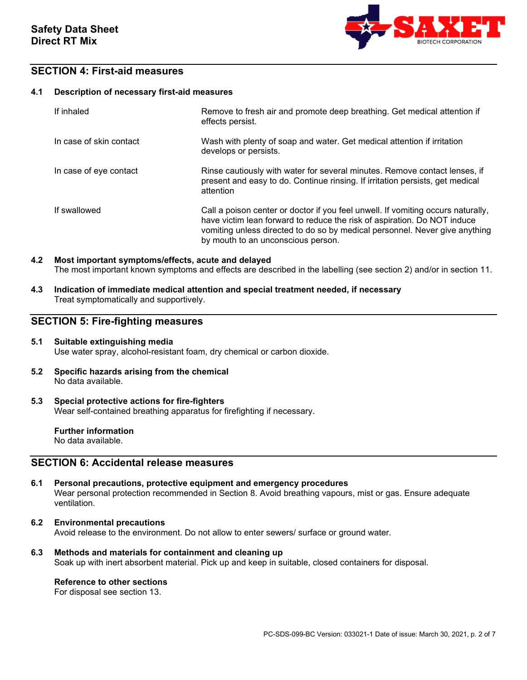

### **SECTION 4: First-aid measures**

#### **4.1 Description of necessary first-aid measures**

| If inhaled              | Remove to fresh air and promote deep breathing. Get medical attention if<br>effects persist.                                                                                                                                                                                      |
|-------------------------|-----------------------------------------------------------------------------------------------------------------------------------------------------------------------------------------------------------------------------------------------------------------------------------|
| In case of skin contact | Wash with plenty of soap and water. Get medical attention if irritation<br>develops or persists.                                                                                                                                                                                  |
| In case of eye contact  | Rinse cautiously with water for several minutes. Remove contact lenses, if<br>present and easy to do. Continue rinsing. If irritation persists, get medical<br>attention                                                                                                          |
| If swallowed            | Call a poison center or doctor if you feel unwell. If vomiting occurs naturally,<br>have victim lean forward to reduce the risk of aspiration. Do NOT induce<br>vomiting unless directed to do so by medical personnel. Never give anything<br>by mouth to an unconscious person. |

#### **4.2 Most important symptoms/effects, acute and delayed** The most important known symptoms and effects are described in the labelling (see section 2) and/or in section 11.

**4.3 Indication of immediate medical attention and special treatment needed, if necessary** Treat symptomatically and supportively.

### **SECTION 5: Fire-fighting measures**

#### **5.1 Suitable extinguishing media** Use water spray, alcohol-resistant foam, dry chemical or carbon dioxide.

- **5.2 Specific hazards arising from the chemical** No data available.
- **5.3 Special protective actions for fire-fighters** Wear self-contained breathing apparatus for firefighting if necessary.

**Further information** No data available.

### **SECTION 6: Accidental release measures**

- **6.1 Personal precautions, protective equipment and emergency procedures** Wear personal protection recommended in Section 8. Avoid breathing vapours, mist or gas. Ensure adequate ventilation.
- **6.2 Environmental precautions** Avoid release to the environment. Do not allow to enter sewers/ surface or ground water.
- **6.3 Methods and materials for containment and cleaning up** Soak up with inert absorbent material. Pick up and keep in suitable, closed containers for disposal.

#### **Reference to other sections**

For disposal see section 13.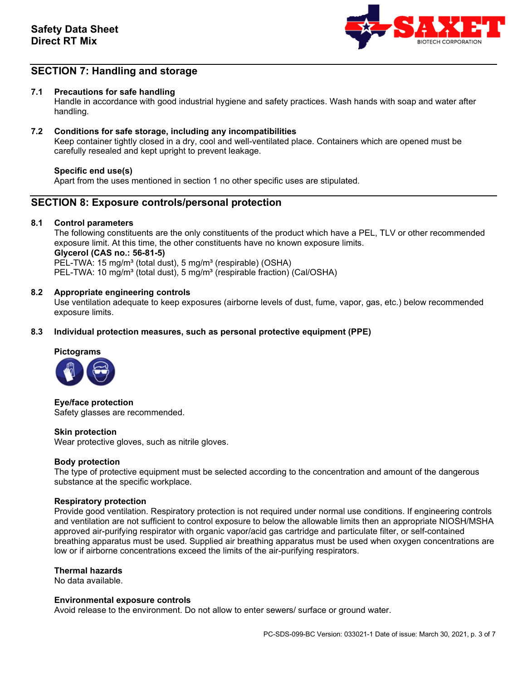

# **SECTION 7: Handling and storage**

#### **7.1 Precautions for safe handling**

Handle in accordance with good industrial hygiene and safety practices. Wash hands with soap and water after handling.

#### **7.2 Conditions for safe storage, including any incompatibilities**

Keep container tightly closed in a dry, cool and well-ventilated place. Containers which are opened must be carefully resealed and kept upright to prevent leakage.

#### **Specific end use(s)**

Apart from the uses mentioned in section 1 no other specific uses are stipulated.

### **SECTION 8: Exposure controls/personal protection**

#### **8.1 Control parameters**

The following constituents are the only constituents of the product which have a PEL, TLV or other recommended exposure limit. At this time, the other constituents have no known exposure limits. **Glycerol (CAS no.: 56-81-5)**  PEL-TWA: 15 mg/m<sup>3</sup> (total dust), 5 mg/m<sup>3</sup> (respirable) (OSHA) PEL-TWA: 10 mg/m<sup>3</sup> (total dust), 5 mg/m<sup>3</sup> (respirable fraction) (Cal/OSHA)

#### **8.2 Appropriate engineering controls**

Use ventilation adequate to keep exposures (airborne levels of dust, fume, vapor, gas, etc.) below recommended exposure limits.

#### **8.3 Individual protection measures, such as personal protective equipment (PPE)**

# **Pictograms**



**Eye/face protection** Safety glasses are recommended.

#### **Skin protection**

Wear protective gloves, such as nitrile gloves.

#### **Body protection**

The type of protective equipment must be selected according to the concentration and amount of the dangerous substance at the specific workplace.

#### **Respiratory protection**

Provide good ventilation. Respiratory protection is not required under normal use conditions. If engineering controls and ventilation are not sufficient to control exposure to below the allowable limits then an appropriate NIOSH/MSHA approved air-purifying respirator with organic vapor/acid gas cartridge and particulate filter, or self-contained breathing apparatus must be used. Supplied air breathing apparatus must be used when oxygen concentrations are low or if airborne concentrations exceed the limits of the air-purifying respirators.

#### **Thermal hazards**

No data available.

#### **Environmental exposure controls**

Avoid release to the environment. Do not allow to enter sewers/ surface or ground water.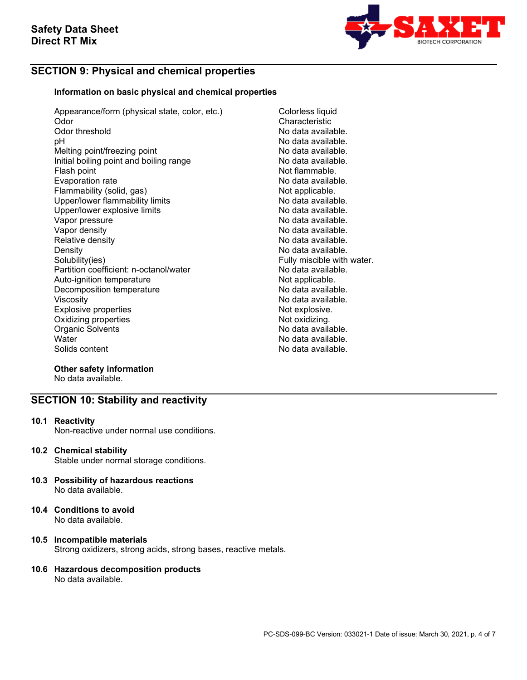

# **SECTION 9: Physical and chemical properties**

#### **Information on basic physical and chemical properties**

Appearance/form (physical state, color, etc.) Colorless liquid<br>Odor Characteristic Odor Characteristic<br>
Odor threshold Characteristic<br>
Odor threshold No data availa Odor threshold **Odor threshold** Controller Modata available.<br>
Dependent Controller Modata available. Melting point/freezing point Initial boiling point and boiling range No data available.<br>Flash point and boiling range Not flammable. Flash point **Flash point in the contract of the Contract of Tammable.**<br>Evaporation rate that the contract of the Not data available. Flammability (solid, gas) Not applicable.<br>
Upper/lower flammability limits No data available. Upper/lower flammability limits and the settlem of the No data available.<br>Upper/lower explosive limits and the No data available. Upper/lower explosive limits and the settlement of the No data available.<br>Vapor pressure No data available. Vapor pressure<br>Vapor density Vapor density<br>
Relative density<br>
Relative density<br>
No data available. Density<br>
Density<br>
Solubility(ies)<br>
Solubility(ies) Partition coefficient: n-octanol/water Auto-ignition temperature and the Not applicable.<br>Decomposition temperature Not applicable. Decomposition temperature<br>Viscosity Explosive properties<br>
Oxidizing properties<br>
Oxidizing properties Oxidizing properties and the control of the Motoxidizing.<br>
Organic Solvents (Note of the Note of the Note of the Note of the Note of the Note of the Note of the Note of Organic Solvents<br>Water Water No data available.<br>
No data available.<br>
No data available.

No data available.<br>No data available. No data available. No data available. Fully miscible with water.<br>No data available. No data available.<br>Not explosive. No data available.

#### **Other safety information** No data available.

# **SECTION 10: Stability and reactivity**

**10.1 Reactivity** 

Non-reactive under normal use conditions.

**10.2 Chemical stability**

Stable under normal storage conditions.

- **10.3 Possibility of hazardous reactions**  No data available.
- **10.4 Conditions to avoid** No data available.

#### **10.5 Incompatible materials** Strong oxidizers, strong acids, strong bases, reactive metals.

#### **10.6 Hazardous decomposition products** No data available.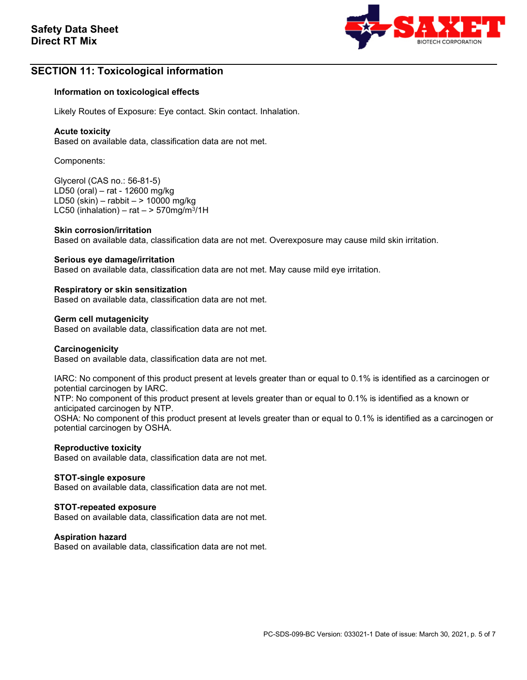

# **SECTION 11: Toxicological information**

#### **Information on toxicological effects**

Likely Routes of Exposure: Eye contact. Skin contact. Inhalation.

#### **Acute toxicity**

Based on available data, classification data are not met.

Components:

Glycerol (CAS no.: 56-81-5) LD50 (oral) – rat - 12600 mg/kg LD50 (skin) – rabbit – > 10000 mg/kg LC50 (inhalation) – rat  $-$  > 570mg/m<sup>3</sup>/1H

#### **Skin corrosion/irritation**

Based on available data, classification data are not met. Overexposure may cause mild skin irritation.

#### **Serious eye damage/irritation**

Based on available data, classification data are not met. May cause mild eye irritation.

#### **Respiratory or skin sensitization**

Based on available data, classification data are not met.

#### **Germ cell mutagenicity**

Based on available data, classification data are not met.

#### **Carcinogenicity**

Based on available data, classification data are not met.

IARC: No component of this product present at levels greater than or equal to 0.1% is identified as a carcinogen or potential carcinogen by IARC.

NTP: No component of this product present at levels greater than or equal to 0.1% is identified as a known or anticipated carcinogen by NTP.

OSHA: No component of this product present at levels greater than or equal to 0.1% is identified as a carcinogen or potential carcinogen by OSHA.

#### **Reproductive toxicity**

Based on available data, classification data are not met.

#### **STOT-single exposure**

Based on available data, classification data are not met.

#### **STOT-repeated exposure**

Based on available data, classification data are not met.

#### **Aspiration hazard**

Based on available data, classification data are not met.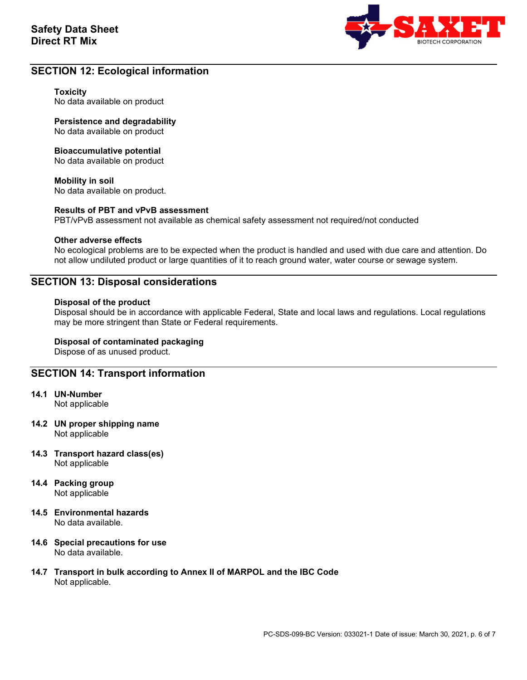

## **SECTION 12: Ecological information**

#### **Toxicity**

No data available on product

**Persistence and degradability** No data available on product

#### **Bioaccumulative potential**

No data available on product

#### **Mobility in soil**

No data available on product.

#### **Results of PBT and vPvB assessment**

PBT/vPvB assessment not available as chemical safety assessment not required/not conducted

#### **Other adverse effects**

No ecological problems are to be expected when the product is handled and used with due care and attention. Do not allow undiluted product or large quantities of it to reach ground water, water course or sewage system.

### **SECTION 13: Disposal considerations**

#### **Disposal of the product**

Disposal should be in accordance with applicable Federal, State and local laws and regulations. Local regulations may be more stringent than State or Federal requirements.

#### **Disposal of contaminated packaging**

Dispose of as unused product.

### **SECTION 14: Transport information**

- **14.1 UN-Number** Not applicable
- **14.2 UN proper shipping name** Not applicable
- **14.3 Transport hazard class(es)** Not applicable
- **14.4 Packing group** Not applicable
- **14.5 Environmental hazards** No data available.
- **14.6 Special precautions for use** No data available.
- **14.7 Transport in bulk according to Annex II of MARPOL and the IBC Code** Not applicable.